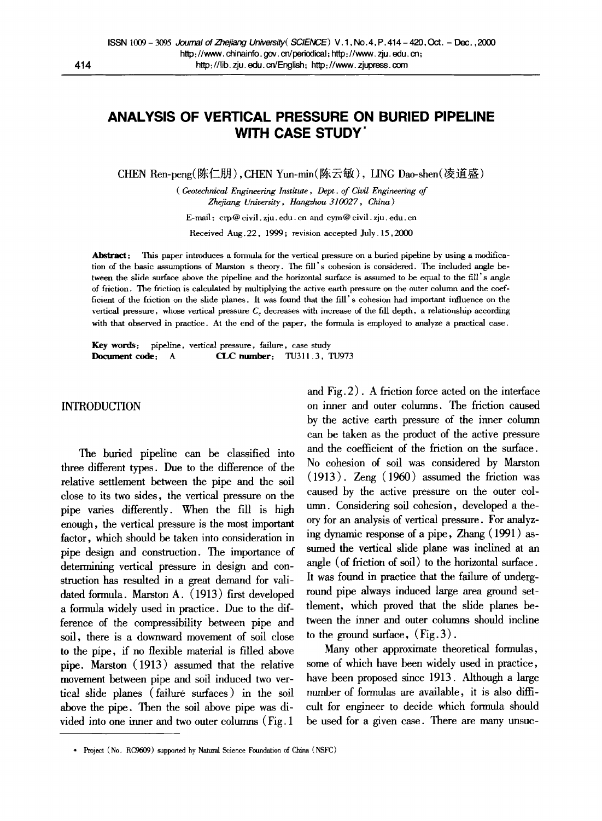# **ANALYSIS OF VERTICAL PRESSURE ON BURIED PIPELINE WITH CASE STUDY"**

CHEN Ren-peng(陈仁朋), CHEN Yun-min(陈云敏), LING Dao-shen(凌道盛)

*( Geotechnical Engineering Institute, Dept. of Civil Engineering of Zhefiang University, Hangzhou 310027, China)* 

E-mail : crp@ civil, zju. edu. cn and cym@ civil, zju. edu. cn

Received Aug.22, 1999; revision accepted July. 15,2000

Abstract: This paper introduces a formula for the vertical pressure on a buried pipeline by using a modification of the basic assumptions of Marston s theory. The fill's cohesion is considered. The included angle between the slide surface above the pipeline and the horizontal surface is assumed to be equal to the fill's angle of friction. The friction is calculated by multiplying the active earth pressure on the outer column and the coefficient of the friction on the slide planes. It was found that the fill's cohesion had important influence on the vertical pressure, whose vertical pressure  $C_c$  decreases with increase of the fill depth, a relationship according with that observed in practice. At the end of the paper, the formula is employed to analyze a practical case.

Key words: pipeline, vertical pressure, failure, case study Document code: A **CLC** number: TU311.3, TU973

### INTRODUCTION

The buried pipeline can be classified into three different types. Due to the difference of the relative settlement between the pipe and the soil close to its two sides, the vertical pressure on the pipe varies differently. When the fill is high enough, the vertical pressure is the most important factor, which should be taken into consideration in pipe design and construction. The importance of determining vertical pressure in design and construction has resulted in a great demand for validated formula. Marston A. (1913) first developed a formula widely used in practice. Due to the difference of the compressibility between pipe and soil, there is a downward movement of soil close to the pipe, if no flexible material is filled above pipe. Marston (1913) assumed that the relative movement between pipe and soil induced two vertical slide planes (failure surfaces) in the soil above the pipe. Then the soil above pipe was divided into one inner and two outer columns (Fig. 1

and Fig. 2). A friction force acted on the interface on inner and outer columns. The friction caused by the active earth pressure of the inner column can be taken as the product of the active pressure and the coefficient of the friction on the surface. No cohesion of soil was considered by Marston (1913). Zeng (1960) assumed the friction was caused by the active pressure on the outer column. Considering soil cohesion, developed a theory for an analysis of vertical pressure. For analyzing dynamic response of a pipe, Zhang (1991) assumed the vertical slide plane was inclined at an angle (of friction of soil) to the horizontal surface. It was found in practice that the failure of underground pipe always induced large area ground settlement, which proved that the slide planes between the inner and outer columns should incline to the ground surface,  $(Fig. 3)$ .

Many other approximate theoretical formulas, some of which have been widely used in practice, have been proposed since 1913. Although a large number of formulas are available, it is also difficult for engineer to decide which formula should be used for a given case. There are many unsuc-

<sup>\*</sup> Project (No. RC9609) supported by Natural Science Foundation of China (NSFC)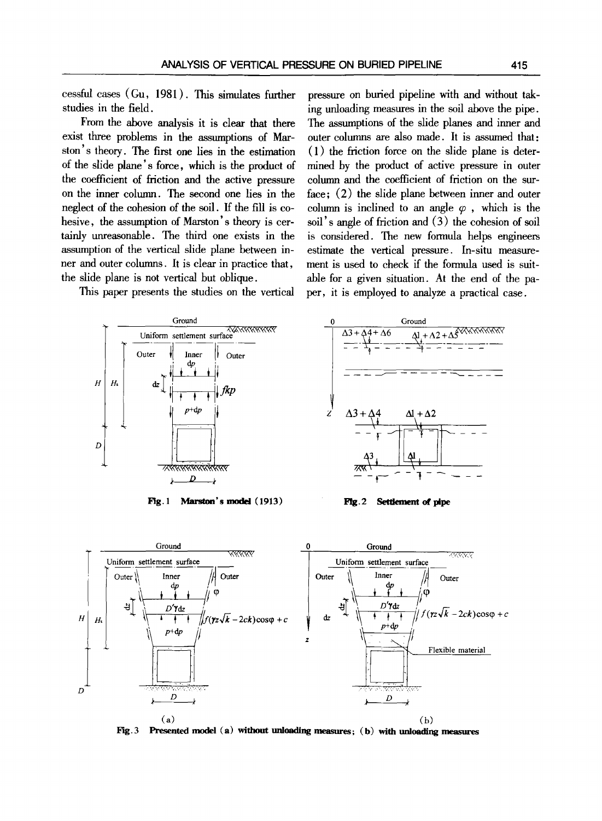cessful cases (Gu, 1981 ). This simulates further studies in the field.

From the above analysis it is clear that there exist three problems in the assumptions of Marston's theory. The first one lies in the estimation of the slide plane's force, which is the product of the coefficient of friction and the active pressure on the inner column. The second one lies in the neglect of the cohesion of the soil. If the fill is cohesive, the assumption of Marston's theory is certainly tmreasonable. The third one exists in the assumption of the vertical slide plane between inner and outer columns. It is clear in practice that, the slide plane is not vertical but oblique.

This paper presents the studies on the vertical



Fig. 1 Marston's model (1913)





Fig. 2 Settlement of pipe



Fig.3 Presented model (a) without unloading measures; (b) with unloading measures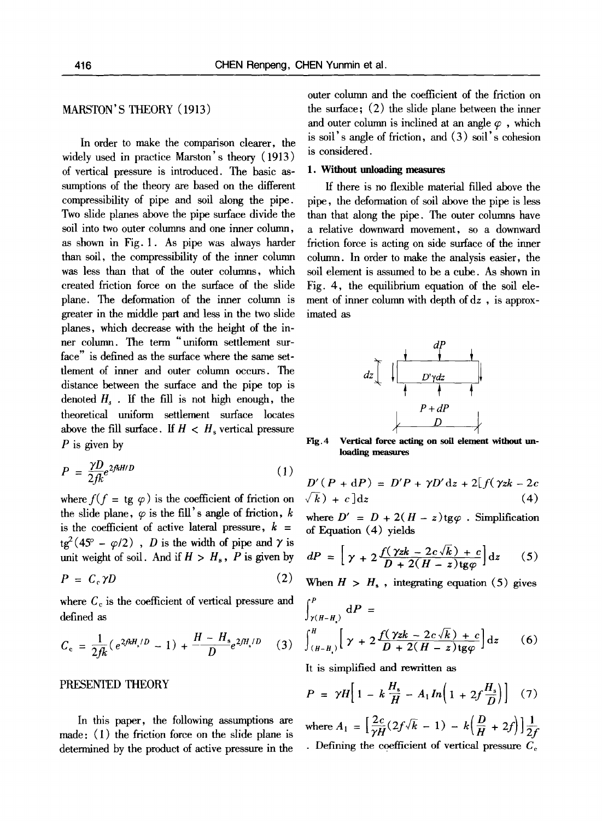## MARSTON'S THEORY (1913)

In order to make the comparison clearer, the widely used in practice Marston's theory (1913) of vertical pressure is introduced. The basic assumptions of the theory are based on the different compressibility of pipe and soil along the pipe. Two slide planes above the pipe surface divide the soil into two outer columns and one inner column, as shown in Fig. 1. As pipe was always harder than soil, the compressibility of the inner column was less than that of the outer columns, which created friction force on the surface of the slide plane. The deformation of the inner column is greater in the middle part and less in the two slide planes, which decrease with the height of the inner column. The term *"uniform* settlement surface" is defined as the surface where the same settlement of inner and outer column occurs. The distance between the surface and the pipe top is denoted  $H_s$ . If the fill is not high enough, the theoretical uniform settlement surface locates above the fill surface. If  $H < H<sub>s</sub>$  vertical pressure  $P$  is given by

$$
P = \frac{\gamma D}{2f k} e^{2f k H/D} \tag{1}
$$

where  $f(f = \text{tg } \varphi)$  is the coefficient of friction on the slide plane,  $\varphi$  is the fill's angle of friction, k is the coefficient of active lateral pressure,  $k =$  $tg^2(45^{\circ} - \varphi/2)$ , *D* is the width of pipe and  $\gamma$  is unit weight of soil. And if  $H > H_s$ , P is given by

$$
P = C_c \gamma D \tag{2}
$$

where  $C_c$  is the coefficient of vertical pressure and defined as

$$
C_{\rm c} = \frac{1}{2 f k} (e^{2 f k H_s / D} - 1) + \frac{H - H_s}{D} e^{2 f H_s / D} \qquad (3)
$$

### PRESENTED THEORY

In this paper, the following assumptions are made: (1) the friction force on the slide plane is determined by the product of active pressure in the outer column and the coefficient of the friction on the surface; (2) the slide plane between the inner and outer column is inclined at an angle  $\varphi$ , which is soil's angle of friction, and (3) soil's cohesion is considered.

#### 1. Without unloading measures

If there is no flexible material filled above the pipe, the deformation of soil above the pipe is less than that along the pipe. The outer columns have a relative downward movement, so a downward friction force is acting on side surface of the inner column. In order to make the analysis easier, the soil element is assumed to be a cube. As shown in Fig. 4, the equilibrium equation of the soil element of inner column with depth of dz , is approximated as



 $Fig. 4$ Vertical force acting on soil element without **unloading** measures

$$
D'(P + dP) = D'P + \gamma D'dz + 2[f(\gamma zk - 2c
$$
  

$$
\sqrt{k}) + c]dz
$$
 (4)

where  $D' = D + 2(H - z)$ tg $\varphi$ . Simplification of Equation (4) yields

$$
dP = \left[ \gamma + 2 \frac{f(\gamma z k - 2c\sqrt{k}) + c}{D + 2(H - z) \text{tg}\varphi} \right] dz \qquad (5)
$$

When  $H > H<sub>s</sub>$ , integrating equation (5) gives

$$
\int_{\gamma(H-H_1)}^P dP =
$$
\n
$$
\int_{(H-H_1)}^H \left[ \gamma + 2 \frac{f(\gamma z k - 2c \sqrt{k}) + c}{D + 2(H - z) \deg \varphi} \right] dz
$$
\n(6)

It is simplified and rewritten as

$$
P = \gamma H \left[ 1 - k \frac{H_s}{H} - A_1 \ln \left( 1 + 2f \frac{H_s}{D} \right) \right] \quad (7)
$$

where  $A_1 = \left[\frac{2c}{\gamma H}(2f\sqrt{k}-1) - k\left(\frac{D}{H} + 2f\right)\right]\frac{1}{2f}$ . Defining the coefficient of vertical pressure  $C_c$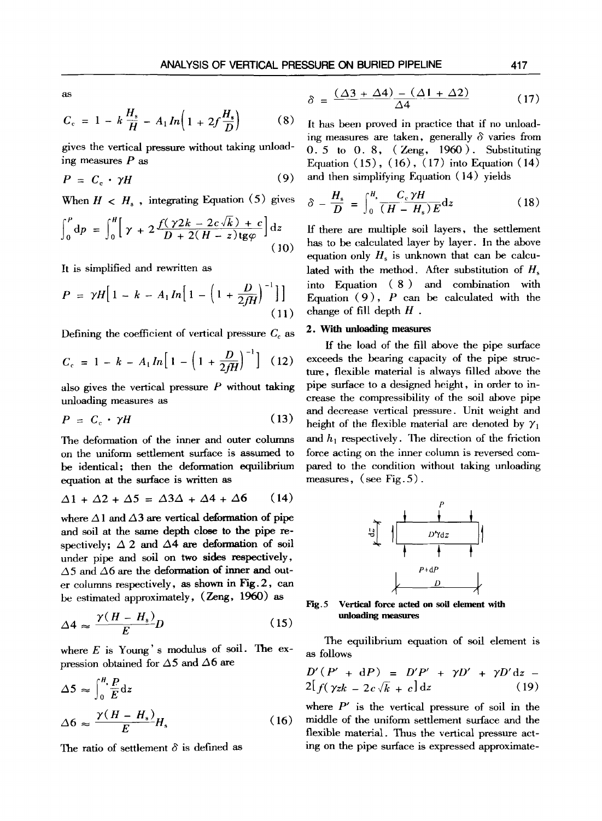as

$$
C_{c} = 1 - k \frac{H_s}{H} - A_1 In \left( 1 + 2f \frac{H_s}{D} \right) \tag{8}
$$

gives the vertical pressure without taking unloading measures  *as* 

$$
P = C_{\rm c} \cdot \gamma H \tag{9}
$$

When  $H \lt H_s$ , integrating Equation (5) gives

$$
\int_0^P dp = \int_0^H \left[ \gamma + 2 \frac{f(\gamma 2k - 2c\sqrt{k}) + c}{D + 2(H - z) \text{tg}\varphi} \right] dz
$$
\n(10)

It is simplified and rewritten as

$$
P = \gamma H \Big[ 1 - k - A_1 \ln \Big[ 1 - \Big( 1 + \frac{D}{2fH} \Big)^{-1} \Big] \Big]
$$
(11)

Defining the coefficient of vertical pressure  $C_c$  as

$$
C_{\rm c} = 1 - k - A_1 \ln \left[ 1 - \left( 1 + \frac{D}{2fH} \right)^{-1} \right] \tag{12}
$$

also gives the vertical pressure  $P$  without taking unloading measures as

$$
P = C_{\rm c} \cdot \gamma H \tag{13}
$$

The deformation of the inner and outer columns on the uniform settlement surface is assumed to be identical; then the deformation equilibrium equation at the surface is written as

$$
\Delta 1 + \Delta 2 + \Delta 5 = \Delta 3\Delta + \Delta 4 + \Delta 6 \qquad (14)
$$

where  $\Delta$ 1 and  $\Delta$ 3 are vertical deformation of pipe and soil at the same depth elose to the pipe respectively:  $\Delta$  2 and  $\Delta$ 4 are deformation of soil under pipe and soil on two sides reapectively,  $\Delta$ 5 and  $\Delta$ 6 are the deformation of inner and outer columns respectively, as shown in Fig. 2, can be estimated approximately, (Zeng, 1960) as

$$
\Delta 4 \approx \frac{\gamma (H - H_s)}{E} D \tag{15}
$$

where  $E$  is Young's modulus of soil. The expression obtained for  $\Delta$ 5 and  $\Delta$ 6 are

$$
\Delta 5 \approx \int_0^H \frac{P}{E} dz
$$
  

$$
\Delta 6 \approx \frac{\gamma (H - H_s)}{E} H_s
$$
 (16)

The ratio of settlement  $\delta$  is defined as

$$
\delta = \frac{(\Delta 3 + \Delta 4) - (\Delta 1 + \Delta 2)}{\Delta 4} \tag{17}
$$

It has been proved in practice that if no unloading measures are taken, generally  $\delta$  varies from 0. 5 to 0. 8, ( Zeng, 1960). Substituting Equation  $(15)$ ,  $(16)$ ,  $(17)$  into Equation  $(14)$ and then simplifying Equation (14) yields

$$
\delta - \frac{H_s}{D} = \int_0^{H_s} \frac{C_c \gamma H}{(H - H_s) E} \mathrm{d}z \tag{18}
$$

ff there are multiple soil layers, the settlement has to be calculated layer by layer. In the above equation only  $H<sub>s</sub>$  is unknown that can be calculated with the method. After substitution of  $H_s$ into Equation ( 8 ) and combination with Equation  $(9)$ , P can be calculated with the change of fill depth  $H$ .

#### **2. With unloading measures**

If the load of the fill above the pipe surface exceeds the bearing capacity of the pipe structure, flexible material is always filled above the pipe surface to a designed height, in order to increase the compressibility of the soil above pipe and decrease vertical pressure. Unit weight and height of the flexible material are denoted by  $\gamma_1$ and  $h_1$  respectively. The direction of the friction force acting on the inner column is reversed compared to the condition without taking unloading measures, (see Fig. 5).



**Fig.5 Vertical force acted on soil element with unloading** 

The equilibrium equation of soil element is as follows

$$
D'(P' + dP) = D'P' + \gamma D' + \gamma D' dz - 2[f(\gamma z k - 2c\sqrt{k} + c] dz]
$$
\n(19)

where  $P'$  is the vertical pressure of soil in the middle of the uniform settlement surface and the flexible material. Thus the vertical pressure acting on the pipe surface is expressed approximate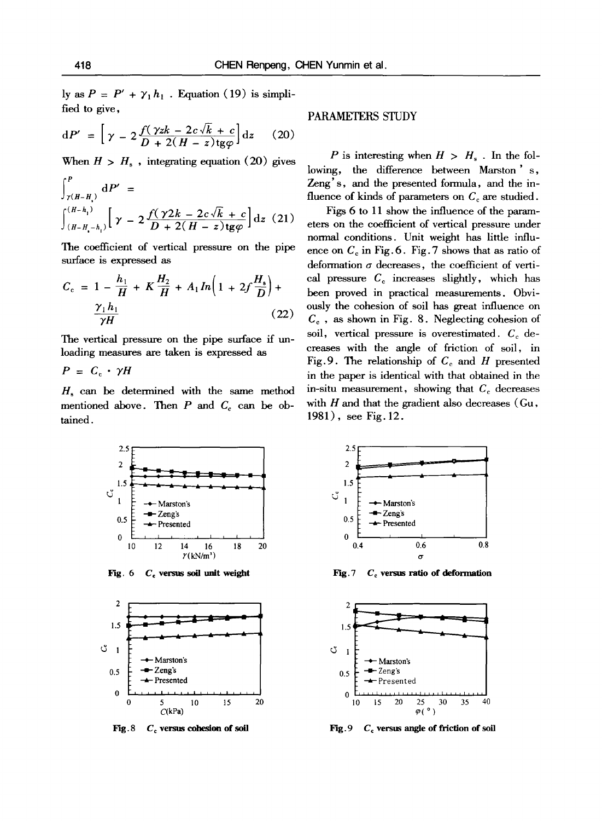ly as  $P = P' + \gamma_1 h_1$ . Equation (19) is simplified to give,

$$
dP' = \left[ \gamma - 2 \frac{f(\gamma z k - 2c\sqrt{k} + c)}{D + 2(H - z) \text{tg}\varphi} \right] dz \qquad (20)
$$

When  $H > H<sub>s</sub>$ , integrating equation (20) gives

$$
\int_{\gamma(H-H_1)}^P dP' = \int_{(H-H_1-h_1)}^{(H-h_1)} \left[ \gamma - 2 \frac{f(\gamma 2k - 2c\sqrt{k} + c)}{D + 2(H - z) \log \varphi} \right] dz
$$
 (21)

The coefficient of vertical pressure on the pipe surface is expressed as

$$
C_{c} = 1 - \frac{h_{1}}{H} + K \frac{H_{2}}{H} + A_{1} In \left( 1 + 2f \frac{H_{s}}{D} \right) + \frac{\gamma_{1} h_{1}}{\gamma H}
$$
 (22)

The vertical pressure on the pipe surface if unloading measures are taken is expressed as

 $P = C_{\rm e} \cdot \gamma H$ 

 $H_s$  can be determined with the same method mentioned above. Then  $P$  and  $C_c$  can be obtained.

### PARAMETERS STUDY

P is interesting when  $H > H<sub>s</sub>$ . In the following, the difference between Marston' s, Zeng's, and the presented formula, and the influence of kinds of parameters on  $C_c$  are studied.

Figs 6 to 11 show the influence of the parameters on the coefficient of vertical pressure under normal conditions. Unit weight has little influence on  $C_c$  in Fig. 6. Fig. 7 shows that as ratio of deformation  $\sigma$  decreases, the coefficient of vertical pressure  $C_c$  increases slightly, which has been proved in practical measurements. Obviously the cohesion of soil has great influence on  $C<sub>c</sub>$ , as shown in Fig. 8. Neglecting cohesion of soil, vertical pressure is overestimated.  $C_c$  decreases with the angle of friction of soil, in Fig. 9. The relationship of  $C_c$  and H presented in the paper is identical with that obtained in the in-situ measurement, showing that  $C_c$  decreases with  $H$  and that the gradient also decreases (Gu, 1981), see Fig. 12.



**Fig. 6**  C, versus soil unit **weight** 



Fig. 8  $C<sub>c</sub>$  versus cohesion of soil



Fig. 7 **Cc versus ratio of deformation** 



Fig. 9  $C_c$  versus angle of friction of soil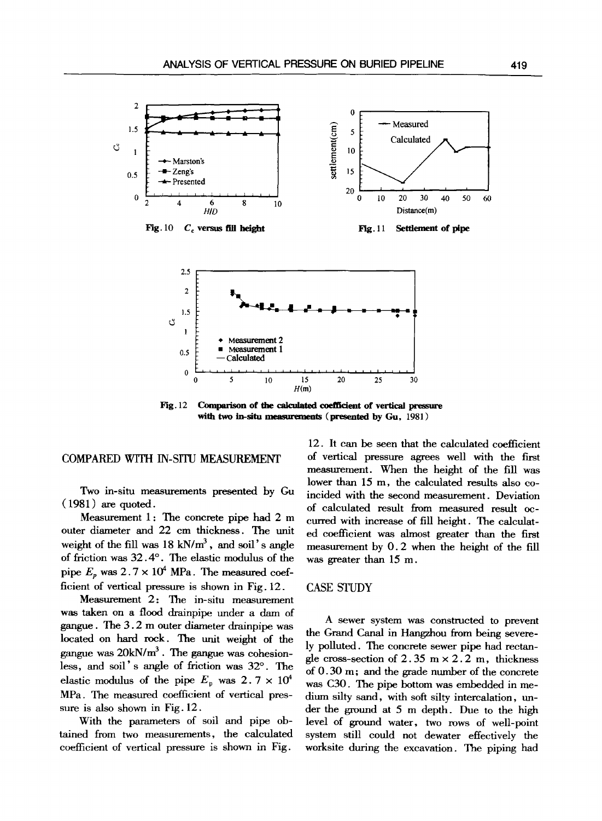

Fig. 12 Comparison of the calculated coefficient of vertical pressure with two in-situ measurements (presented by Gu, 1981)

0 5 10 15 20 25 30  $H(m)$ 

### COMPARED WITH IN-SITU MEASUREMENT

Two in-situ measurements presented by Gu  $(1981)$  are quoted.

Measurement 1: The concrete pipe had 2 m outer diameter and 22 cm thickness. The unit weight of the fill was  $18 \text{ kN/m}^3$ , and soil's angle of friction was 32.4°. The elastic modulus of the pipe  $E_p$  was  $2.7 \times 10^4$  MPa. The measured coefficient of vertical pressure is shown in Fig. 12.

Measurement 2: The in-situ measurement was taken on a flood drainpipe under a dam of gangue. The 3.2 m outer diameter drainpipe was located on hard rock. The unit weight of the gangue was  $20kN/m^3$ . The gangue was cohesionless, and soil's angle of friction was  $32^\circ$ . The elastic modulus of the pipe  $E_p$  was 2.7 x 10<sup>4</sup> MPa. The measured coefficient of vertical pressure is also shown in Fig. 12.

With the parameters of soil and pipe obtained from two measurements, the calculated coefficient of vertical pressure is shown in Fig.

12. It can be seen that the calculated coefficient of vertical pressure agrees well with the first measurement. When the height of the fill was lower than 15 m, the calculated results also coincided with the second measurement. Deviation of calculated result from measured result occurred with increase of fill height. The calculated coefficient was almost greater than the first measurement by 0.2 when the height of the fill was greater than 15 m.

### CASE STUDY

A sewer system was constructed to prevent the Grand Canal in Hangzhou from being severely polluted. The concrete sewer pipe had rectangle cross-section of  $2.35 \text{ m} \times 2.2 \text{ m}$ , thickness of 0.30 m; and the grade number of the concrete was C30. The pipe bottom was embedded in medium silty sand, with soft silty intercalation, under the ground at 5 m depth. Due to the high level of ground water, two rows of well-point system still could not dewater effectively the worksite during the excavation. The piping had